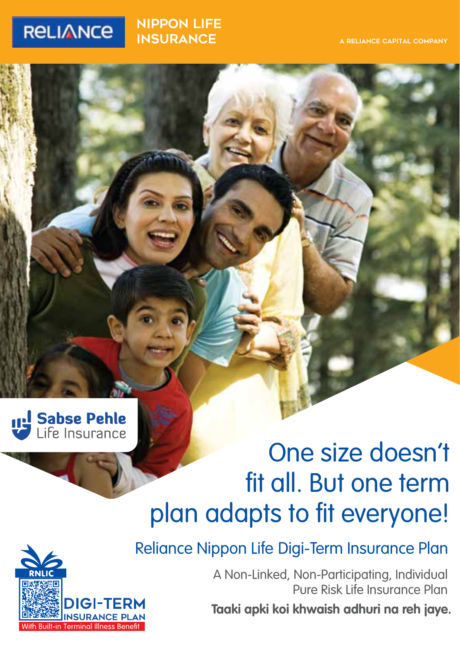## **RELIANCE**

nippon LIFE **INSURANCE** 

#### A RELIANCE CAPITAL COMPANY



# One size doesn't fit all. But one term plan adapts to fit everyone!



Reliance Nippon Life Digi-Term Insurance Plan

A Non-Linked, Non-Participating, Individual Pure Risk Life Insurance Plan **Taaki apki koi khwaish adhuri na reh jaye.**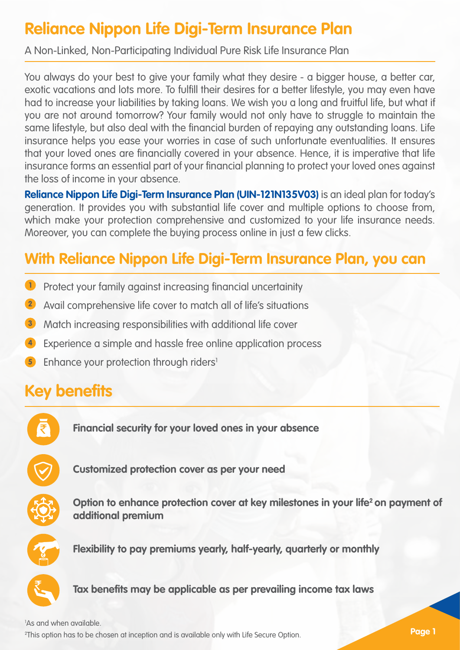## **Reliance Nippon Life Digi-Term Insurance Plan**

A Non-Linked, Non-Participating Individual Pure Risk Life Insurance Plan

You always do your best to give your family what they desire - a bigger house, a better car, exotic vacations and lots more. To fulfill their desires for a better lifestyle, you may even have had to increase your liabilities by taking loans. We wish you a long and fruitful life, but what if you are not around tomorrow? Your family would not only have to struggle to maintain the same lifestyle, but also deal with the financial burden of repaying any outstanding loans. Life insurance helps you ease your worries in case of such unfortunate eventualities. It ensures that your loved ones are financially covered in your absence. Hence, it is imperative that life insurance forms an essential part of your financial planning to protect your loved ones against the loss of income in your absence.

**Reliance Nippon Life Digi-Term Insurance Plan (UIN-121N135V03)** is an ideal plan for today's generation. It provides you with substantial life cover and multiple options to choose from, which make your protection comprehensive and customized to your life insurance needs. Moreover, you can complete the buying process online in just a few clicks.

## **With Reliance Nippon Life Digi-Term Insurance Plan, you can**

- Protect your family against increasing financial uncertainity **1**
- Avail comprehensive life cover to match all of life's situations **2**
- Match increasing responsibilities with additional life cover **3**
- Experience a simple and hassle free online application process **4**
- **5** Enhance your protection through riders<sup>1</sup>

## **Key benefits**



**Financial security for your loved ones in your absence** 



**Customized protection cover as per your need**



Option to enhance protection cover at key milestones in your life<sup>2</sup> on payment of **additional premium**



**Flexibility to pay premiums yearly, half-yearly, quarterly or monthly**



**Tax benefits may be applicable as per prevailing income tax laws**

2 This option has to be chosen at inception and is available only with Life Secure Option. 1 As and when available.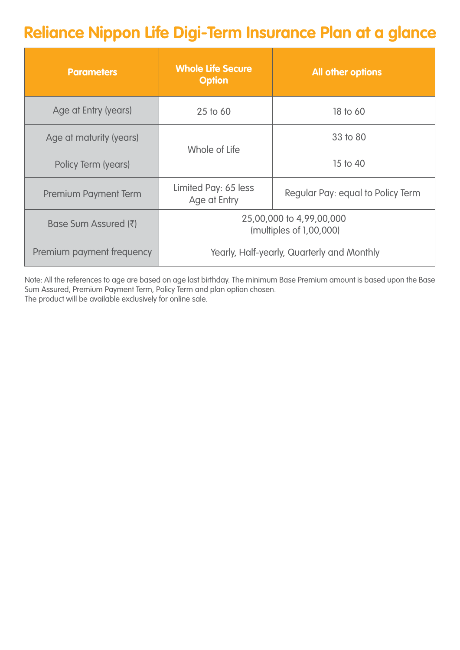## **Reliance Nippon Life Digi-Term Insurance Plan at a glance**

| <b>Parameters</b>         | <b>Whole Life Secure</b><br><b>Option</b>                                 | All other options |  |
|---------------------------|---------------------------------------------------------------------------|-------------------|--|
| Age at Entry (years)      | 25 to 60                                                                  | 18 to 60          |  |
| Age at maturity (years)   | Whole of Life                                                             | 33 to 80          |  |
| Policy Term (years)       |                                                                           | 15 to 40          |  |
| Premium Payment Term      | Limited Pay: 65 less<br>Regular Pay: equal to Policy Term<br>Age at Entry |                   |  |
| Base Sum Assured (₹)      | 25,00,000 to 4,99,00,000<br>(multiples of 1,00,000)                       |                   |  |
| Premium payment frequency | Yearly, Half-yearly, Quarterly and Monthly                                |                   |  |

Note: All the references to age are based on age last birthday. The minimum Base Premium amount is based upon the Base Sum Assured, Premium Payment Term, Policy Term and plan option chosen. The product will be available exclusively for online sale.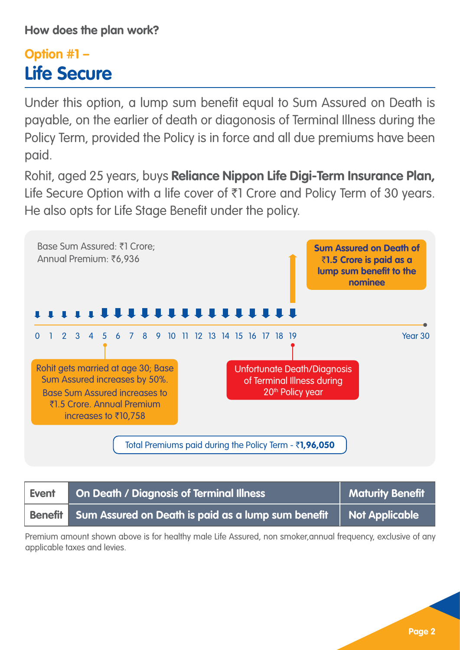## **Option #1 – Life Secure**

Under this option, a lump sum benefit equal to Sum Assured on Death is payable, on the earlier of death or diagonosis of Terminal Illness during the Policy Term, provided the Policy is in force and all due premiums have been paid.

Rohit, aged 25 years, buys **Reliance Nippon Life Digi-Term Insurance Plan,** Life Secure Option with a life cover of  $\bar{\tau}$ 1 Crore and Policy Term of 30 years. He also opts for Life Stage Benefit under the policy.



| Event | <b>On Death / Diagnosis of Terminal Illness</b>                             | Maturity Benefit |
|-------|-----------------------------------------------------------------------------|------------------|
|       | Benefit Sum Assured on Death is paid as a lump sum benefit   Not Applicable |                  |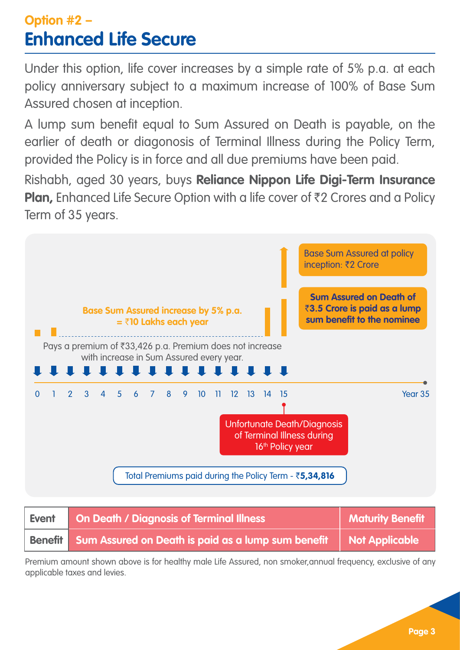## **Option #2 – Enhanced Life Secure**

Under this option, life cover increases by a simple rate of 5% p.a. at each policy anniversary subject to a maximum increase of 100% of Base Sum Assured chosen at inception.

A lump sum benefit equal to Sum Assured on Death is payable, on the earlier of death or diagonosis of Terminal Illness during the Policy Term, provided the Policy is in force and all due premiums have been paid.

Rishabh, aged 30 years, buys **Reliance Nippon Life Digi-Term Insurance Plan, Enhanced Life Secure Option with a life cover of ₹2 Crores and a Policy** Term of 35 years.



| Event | <b>On Death / Diagnosis of Terminal Illness</b>            | <b>Maturity Benefit</b> |
|-------|------------------------------------------------------------|-------------------------|
|       | Benefit Sum Assured on Death is paid as a lump sum benefit | <b>Not Applicable</b>   |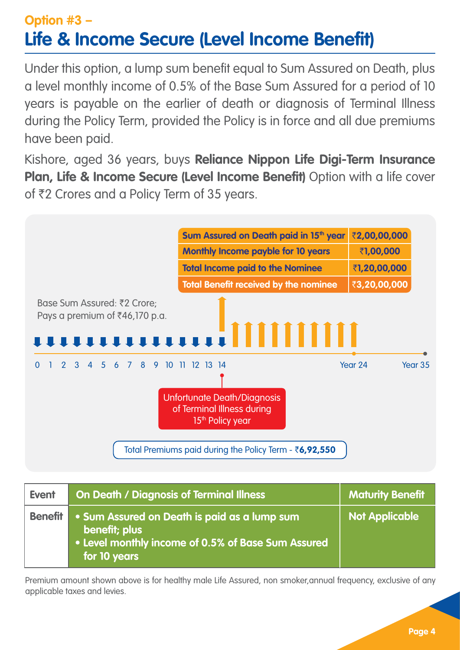## **Option #3 – Life & Income Secure (Level Income Benefit)**

Under this option, a lump sum benefit equal to Sum Assured on Death, plus a level monthly income of 0.5% of the Base Sum Assured for a period of 10 years is payable on the earlier of death or diagnosis of Terminal Illness during the Policy Term, provided the Policy is in force and all due premiums have been paid.

Kishore, aged 36 years, buys **Reliance Nippon Life Digi-Term Insurance Plan, Life & Income Secure (Level Income Benefit)** Option with a life cover of ₹2 Crores and a Policy Term of 35 years.



| Event          | <b>On Death / Diagnosis of Terminal Illness</b>                                                                                     | <b>Maturity Benefit</b> |
|----------------|-------------------------------------------------------------------------------------------------------------------------------------|-------------------------|
| <b>Benefit</b> | . Sum Assured on Death is paid as a lump sum<br>benefit; plus<br>• Level monthly income of 0.5% of Base Sum Assured<br>for 10 years | <b>Not Applicable</b>   |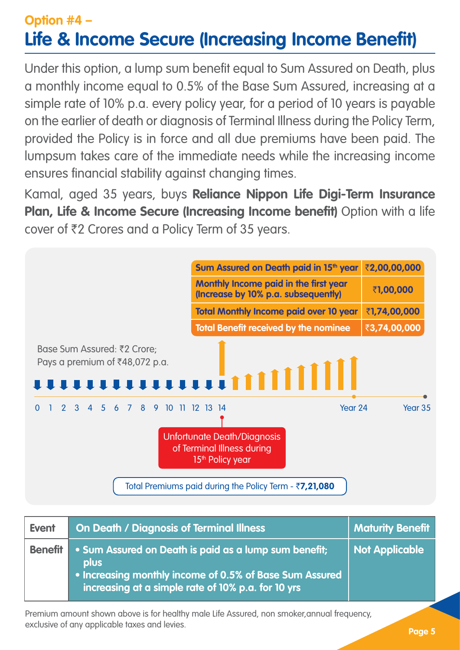## **Option #4 – Life & Income Secure (Increasing Income Benefit)**

Under this option, a lump sum benefit equal to Sum Assured on Death, plus a monthly income equal to 0.5% of the Base Sum Assured, increasing at a simple rate of 10% p.a. every policy year, for a period of 10 years is payable on the earlier of death or diagnosis of Terminal Illness during the Policy Term, provided the Policy is in force and all due premiums have been paid. The lumpsum takes care of the immediate needs while the increasing income ensures financial stability against changing times.

Kamal, aged 35 years, buys **Reliance Nippon Life Digi-Term Insurance Plan, Life & Income Secure (Increasing Income benefit)** Option with a life cover of `2 Crores and a Policy Term of 35 years.



| <b>Event</b>   | <b>On Death / Diagnosis of Terminal Illness</b>                                                                                                                                       | <b>Maturity Benefit</b> |
|----------------|---------------------------------------------------------------------------------------------------------------------------------------------------------------------------------------|-------------------------|
| <b>Benefit</b> | • Sum Assured on Death is paid as a lump sum benefit;<br><b>plus</b><br>• Increasing monthly income of 0.5% of Base Sum Assured<br>increasing at a simple rate of 10% p.a. for 10 yrs | <b>Not Applicable</b>   |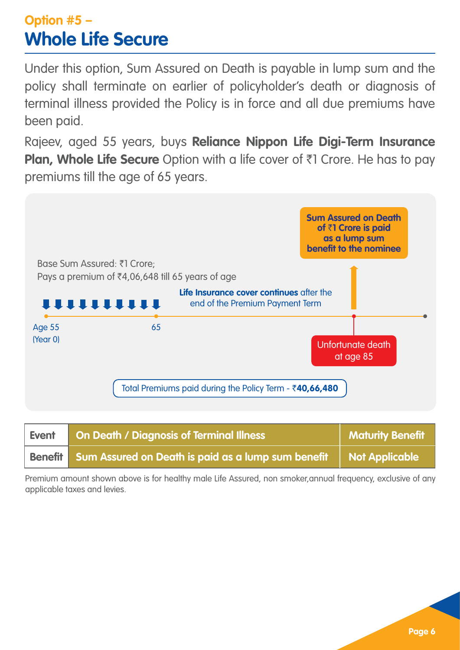## **Option #5 – Whole Life Secure**

Under this option, Sum Assured on Death is payable in lump sum and the policy shall terminate on earlier of policyholder's death or diagnosis of terminal illness provided the Policy is in force and all due premiums have been paid.

Rajeev, aged 55 years, buys **Reliance Nippon Life Digi-Term Insurance Plan, Whole Life Secure** Option with a life cover of ₹1 Crore. He has to pay premiums till the age of 65 years.



| Event | <b>On Death / Diagnosis of Terminal Illness</b>                             | Maturity Benefit |
|-------|-----------------------------------------------------------------------------|------------------|
|       | Benefit Sum Assured on Death is paid as a lump sum benefit   Not Applicable |                  |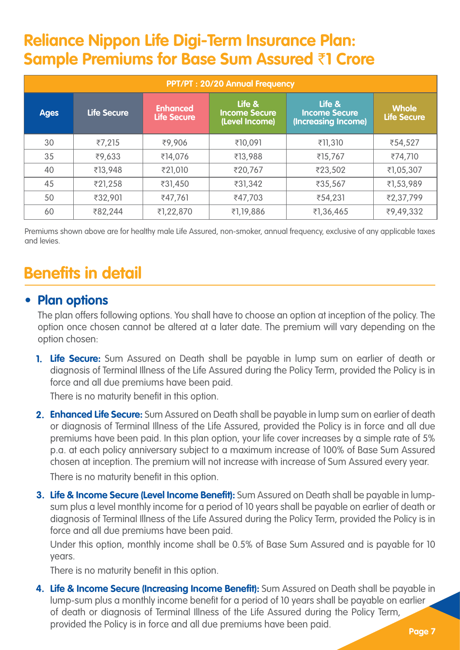## **Reliance Nippon Life Digi-Term Insurance Plan: Sample Premiums for Base Sum Assured** `**1 Crore**

| PPT/PT: 20/20 Annual Frequency |                    |                                       |                                                  |                                                       |                                    |
|--------------------------------|--------------------|---------------------------------------|--------------------------------------------------|-------------------------------------------------------|------------------------------------|
| <b>Ages</b>                    | <b>Life Secure</b> | <b>Enhanced</b><br><b>Life Secure</b> | Life &<br><b>Income Secure</b><br>(Level Income) | Life &<br><b>Income Secure</b><br>(Increasing Income) | <b>Whole</b><br><b>Life Secure</b> |
| 30                             | ₹7,215             | ₹9,906                                | ₹10.091                                          | ₹11,310                                               | ₹54,527                            |
| 35                             | ₹9,633             | ₹14,076                               | ₹13,988                                          | ₹15,767                                               | ₹74,710                            |
| 40                             | ₹13,948            | ₹21,010                               | ₹20,767                                          | ₹23,502                                               | ₹1,05,307                          |
| 45                             | ₹21,258            | ₹31,450                               | ₹31,342                                          | ₹35,567                                               | ₹1,53,989                          |
| 50                             | ₹32,901            | ₹47,761                               | ₹47,703                                          | ₹54,231                                               | ₹2,37,799                          |
| 60                             | ₹82,244            | ₹1,22,870                             | ₹1,19,886                                        | ₹1,36,465                                             | ₹9,49,332                          |

Premiums shown above are for healthy male Life Assured, non-smoker, annual frequency, exclusive of any applicable taxes and levies.

## **Benefits in detail There is no maturity benefits in the set of the set of the set of the set of the set of the**

#### • **Plan options**

The plan offers following options. You shall have to choose an option at inception of the policy. The option once chosen cannot be altered at a later date. The premium will vary depending on the option chosen:

**Life Secure:** Sum Assured on Death shall be payable in lump sum on earlier of death or **1.** diagnosis of Terminal Illness of the Life Assured during the Policy Term, provided the Policy is in force and all due premiums have been paid.

There is no maturity benefit in this option.

**Enhanced Life Secure:** Sum Assured on Death shall be payable in lump sum on earlier of death **2.** or diagnosis of Terminal Illness of the Life Assured, provided the Policy is in force and all due premiums have been paid. In this plan option, your life cover increases by a simple rate of 5% p.a. at each policy anniversary subject to a maximum increase of 100% of Base Sum Assured chosen at inception. The premium will not increase with increase of Sum Assured every year.

There is no maturity benefit in this option.

**Life & Income Secure (Level Income Benefit):** Sum Assured on Death shall be payable in lump-**3.** sum plus a level monthly income for a period of 10 years shall be payable on earlier of death or diagnosis of Terminal Illness of the Life Assured during the Policy Term, provided the Policy is in force and all due premiums have been paid.

Under this option, monthly income shall be 0.5% of Base Sum Assured and is payable for 10 years.

There is no maturity benefit in this option.

**Life & Income Secure (Increasing Income Benefit):** Sum Assured on Death shall be payable in **4.**lump-sum plus a monthly income benefit for a period of 10 years shall be payable on earlier of death or diagnosis of Terminal Illness of the Life Assured during the Policy Term, provided the Policy is in force and all due premiums have been paid.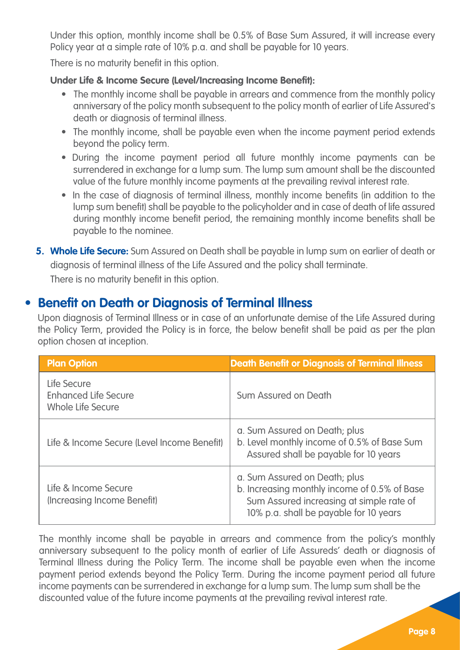Under this option, monthly income shall be 0.5% of Base Sum Assured, it will increase every Policy year at a simple rate of 10% p.a. and shall be payable for 10 years.

There is no maturity benefit in this option.

#### **Under Life & Income Secure (Level/Increasing Income Benefit):**

- The monthly income shall be payable in arrears and commence from the monthly policy anniversary of the policy month subsequent to the policy month of earlier of Life Assured's death or diagnosis of terminal illness.
- The monthly income, shall be payable even when the income payment period extends beyond the policy term.
- During the income payment period all future monthly income payments can be surrendered in exchange for a lump sum. The lump sum amount shall be the discounted value of the future monthly income payments at the prevailing revival interest rate.
- In the case of diagnosis of terminal illness, monthly income benefits (in addition to the lump sum benefit) shall be payable to the policyholder and in case of death of life assured during monthly income benefit period, the remaining monthly income benefits shall be payable to the nominee.
- **Whole Life Secure:** Sum Assured on Death shall be payable in lump sum on earlier of death or **5.** diagnosis of terminal illness of the Life Assured and the policy shall terminate. There is no maturity benefit in this option.

### **• Benefit on Death or Diagnosis of Terminal Illness**

Upon diagnosis of Terminal Illness or in case of an unfortunate demise of the Life Assured during the Policy Term, provided the Policy is in force, the below benefit shall be paid as per the plan option chosen at inception.

| <b>Plan Option</b>                                              | <b>Death Benefit or Diagnosis of Terminal Illness</b>                                                                                                               |  |
|-----------------------------------------------------------------|---------------------------------------------------------------------------------------------------------------------------------------------------------------------|--|
| Life Secure<br><b>Enhanced Life Secure</b><br>Whole Life Secure | Sum Assured on Death                                                                                                                                                |  |
| Life & Income Secure (Level Income Benefit)                     | a. Sum Assured on Death; plus<br>b. Level monthly income of 0.5% of Base Sum<br>Assured shall be payable for 10 years                                               |  |
| Life & Income Secure<br>(Increasing Income Benefit)             | a. Sum Assured on Death; plus<br>b. Increasing monthly income of 0.5% of Base<br>Sum Assured increasing at simple rate of<br>10% p.a. shall be payable for 10 years |  |

The monthly income shall be payable in arrears and commence from the policy's monthly anniversary subsequent to the policy month of earlier of Life Assureds' death or diagnosis of Terminal Illness during the Policy Term. The income shall be payable even when the income payment period extends beyond the Policy Term. During the income payment period all future income payments can be surrendered in exchange for a lump sum. The lump sum shall be the discounted value of the future income payments at the prevailing revival interest rate.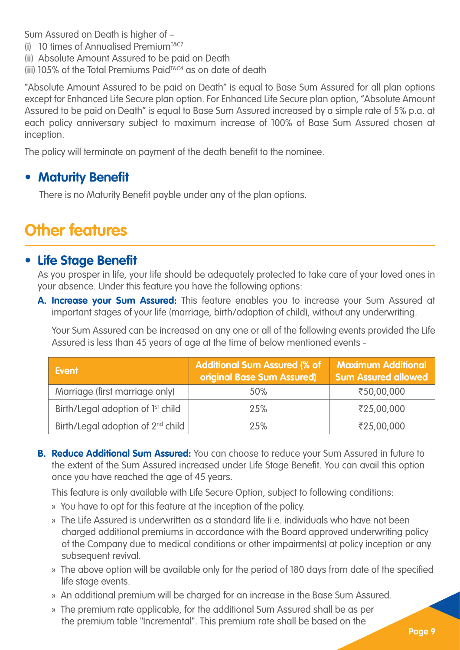Sum Assured on Death is higher of –

- (i) 10 times of Annualised Premium<sup>T&C7</sup>
- (ii) Absolute Amount Assured to be paid on Death
- (iii) 105% of the Total Premiums Paid<sup>T&C4</sup> as on date of death

"Absolute Amount Assured to be paid on Death" is equal to Base Sum Assured for all plan options except for Enhanced Life Secure plan option. For Enhanced Life Secure plan option, "Absolute Amount Assured to be paid on Death" is equal to Base Sum Assured increased by a simple rate of 5% p.a. at each policy anniversary subject to maximum increase of 100% of Base Sum Assured chosen at inception.

The policy will terminate on payment of the death benefit to the nominee.

#### **• Maturity Benefit**

There is no Maturity Benefit payble under any of the plan options.

## **Other features**

#### • **Life Stage Benefit**

As you prosper in life, your life should be adequately protected to take care of your loved ones in your absence. Under this feature you have the following options:

**Increase your Sum Assured:** This feature enables you to increase your Sum Assured at **A.** important stages of your life (marriage, birth/adoption of child), without any underwriting.

Your Sum Assured can be increased on any one or all of the following events provided the Life Assured is less than 45 years of age at the time of below mentioned events -

| Event                                         | <b>Additional Sum Assured (% of</b><br>original Base Sum Assured) | <b>Maximum Additional</b><br><b>Sum Assured allowed</b> |
|-----------------------------------------------|-------------------------------------------------------------------|---------------------------------------------------------|
| Marriage (first marriage only)                | 50%                                                               | ₹50,00,000                                              |
| Birth/Legal adoption of 1 <sup>st</sup> child | 25%                                                               | ₹25,00,000                                              |
| Birth/Legal adoption of 2 <sup>nd</sup> child | 25%                                                               | ₹25,00,000                                              |

**Reduce Additional Sum Assured:** You can choose to reduce your Sum Assured in future to **B.**the extent of the Sum Assured increased under Life Stage Benefit. You can avail this option once you have reached the age of 45 years.

This feature is only available with Life Secure Option, subject to following conditions:

- » You have to opt for this feature at the inception of the policy.
- » The Life Assured is underwritten as a standard life (i.e. individuals who have not been charged additional premiums in accordance with the Board approved underwriting policy of the Company due to medical conditions or other impairments) at policy inception or any subsequent revival.
- » The above option will be available only for the period of 180 days from date of the specified life stage events.
- » An additional premium will be charged for an increase in the Base Sum Assured.
- » The premium rate applicable, for the additional Sum Assured shall be as per the premium table "Incremental". This premium rate shall be based on the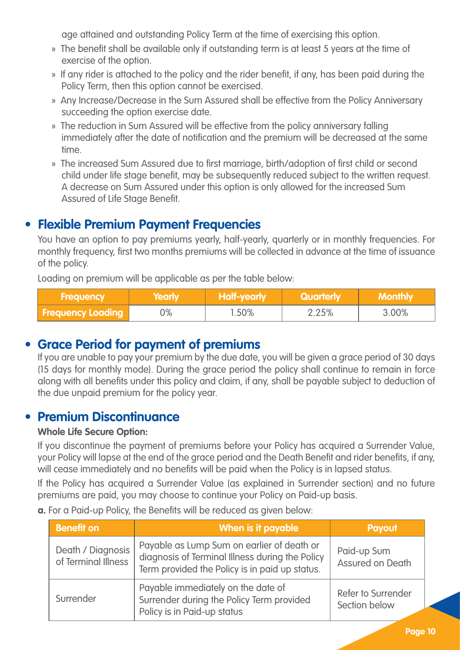age attained and outstanding Policy Term at the time of exercising this option.

- » The benefit shall be available only if outstanding term is at least 5 years at the time of exercise of the option.
- » If any rider is attached to the policy and the rider benefit, if any, has been paid during the Policy Term, then this option cannot be exercised.
- » Any Increase/Decrease in the Sum Assured shall be effective from the Policy Anniversary succeeding the option exercise date.
- » The reduction in Sum Assured will be effective from the policy anniversary falling immediately after the date of notification and the premium will be decreased at the same time.
- » The increased Sum Assured due to first marriage, birth/adoption of first child or second child under life stage benefit, may be subsequently reduced subject to the written request. A decrease on Sum Assured under this option is only allowed for the increased Sum Assured of Life Stage Benefit.

### **• Flexible Premium Payment Frequencies**

You have an option to pay premiums yearly, half-yearly, quarterly or in monthly frequencies. For monthly frequency, first two months premiums will be collected in advance at the time of issuance of the policy.

Loading on premium will be applicable as per the table below:

| <b>Frequency</b>         | Yearly | Half-yearly | <b>Cuarterly</b> | Monthly |
|--------------------------|--------|-------------|------------------|---------|
| <b>Frequency Loading</b> | 0%     | 1.50%       | 2.25%            | 3.00%   |

### • **Grace Period for payment of premiums**

If you are unable to pay your premium by the due date, you will be given a grace period of 30 days (15 days for monthly mode). During the grace period the policy shall continue to remain in force along with all benefits under this policy and claim, if any, shall be payable subject to deduction of the due unpaid premium for the policy year.

### • **Premium Discontinuance**

#### **Whole Life Secure Option:**

If you discontinue the payment of premiums before your Policy has acquired a Surrender Value, your Policy will lapse at the end of the grace period and the Death Benefit and rider benefits, if any, will cease immediately and no benefits will be paid when the Policy is in lapsed status.

If the Policy has acquired a Surrender Value (as explained in Surrender section) and no future premiums are paid, you may choose to continue your Policy on Paid-up basis.

**a.** For a Paid-up Policy, the Benefits will be reduced as given below:

| <b>Benefit on</b>                        | When is it payable                                                                                                                              | <b>Payout</b>                       |
|------------------------------------------|-------------------------------------------------------------------------------------------------------------------------------------------------|-------------------------------------|
| Death / Diagnosis<br>of Terminal Illness | Payable as Lump Sum on earlier of death or<br>diagnosis of Terminal Illness during the Policy<br>Term provided the Policy is in paid up status. | Paid-up Sum<br>Assured on Death     |
| Surrender                                | Payable immediately on the date of<br>Surrender during the Policy Term provided<br>Policy is in Paid-up status                                  | Refer to Surrender<br>Section below |

**Page 10**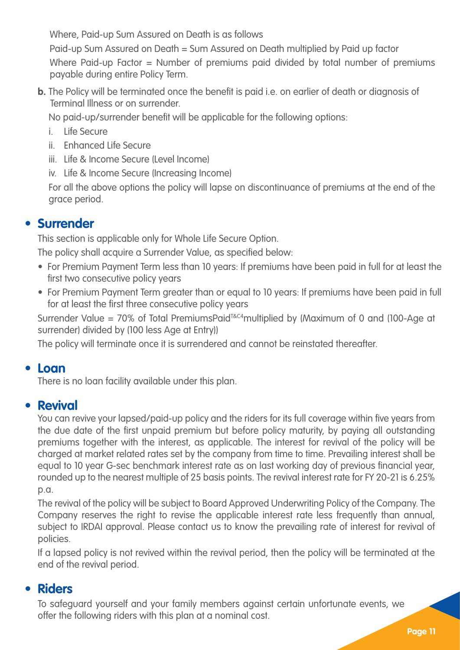Where, Paid-up Sum Assured on Death is as follows

Paid-up Sum Assured on Death = Sum Assured on Death multiplied by Paid up factor Where Paid-up Factor = Number of premiums paid divided by total number of premiums payable during entire Policy Term.

**b.** The Policy will be terminated once the benefit is paid i.e. on earlier of death or diagnosis of Terminal Illness or on surrender.

No paid-up/surrender benefit will be applicable for the following options:

- i. Life Secure
- ii. Enhanced Life Secure
- iii. Life & Income Secure (Level Income)
- iv. Life & Income Secure (Increasing Income)

For all the above options the policy will lapse on discontinuance of premiums at the end of the grace period.

### • **Surrender**

This section is applicable only for Whole Life Secure Option.

The policy shall acquire a Surrender Value, as specified below:

- For Premium Payment Term less than 10 years: If premiums have been paid in full for at least the first two consecutive policy years
- For Premium Payment Term greater than or equal to 10 years: If premiums have been paid in full for at least the first three consecutive policy years

Surrender Value = 70% of Total PremiumsPaid<sup>T&C4</sup>multiplied by (Maximum of 0 and (100-Age at surrender) divided by (100 less Age at Entry))

The policy will terminate once it is surrendered and cannot be reinstated thereafter.

### • **Loan**

There is no loan facility available under this plan.

### • **Revival**

You can revive your lapsed/paid-up policy and the riders for its full coverage within five years from the due date of the first unpaid premium but before policy maturity, by paying all outstanding premiums together with the interest, as applicable. The interest for revival of the policy will be charged at market related rates set by the company from time to time. Prevailing interest shall be equal to 10 year G-sec benchmark interest rate as on last working day of previous financial year, rounded up to the nearest multiple of 25 basis points. The revival interest rate for FY 20-21 is 6.25% p.a.

The revival of the policy will be subject to Board Approved Underwriting Policy of the Company. The Company reserves the right to revise the applicable interest rate less frequently than annual, subject to IRDAI approval. Please contact us to know the prevailing rate of interest for revival of policies.

If a lapsed policy is not revived within the revival period, then the policy will be terminated at the end of the revival period.

### • **Riders**

To safeguard yourself and your family members against certain unfortunate events, we offer the following riders with this plan at a nominal cost.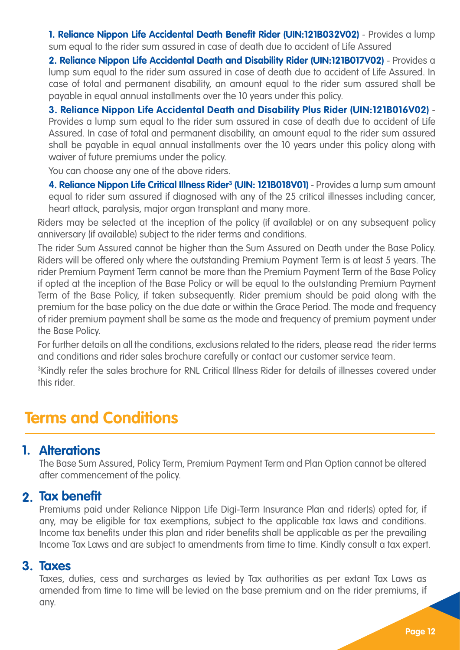**1. Reliance Nippon Life Accidental Death Benefit Rider (UIN:121B032V02)** - Provides a lump sum equal to the rider sum assured in case of death due to accident of Life Assured

**2. Reliance Nippon Life Accidental Death and Disability Rider (UIN:121B017V02)** - Provides a lump sum equal to the rider sum assured in case of death due to accident of Life Assured. In case of total and permanent disability, an amount equal to the rider sum assured shall be payable in equal annual installments over the 10 years under this policy.

**3. Reliance Nippon Life Accidental Death and Disability Plus Rider (UIN:121B016V02)** - Provides a lump sum equal to the rider sum assured in case of death due to accident of Life Assured. In case of total and permanent disability, an amount equal to the rider sum assured shall be payable in equal annual installments over the 10 years under this policy along with waiver of future premiums under the policy.

You can choose any one of the above riders.

**4. Reliance Nippon Life Critical Illness Rider3 (UIN: 121B018V01)** - Provides a lump sum amount equal to rider sum assured if diagnosed with any of the 25 critical illnesses including cancer, heart attack, paralysis, major organ transplant and many more.

Riders may be selected at the inception of the policy (if available) or on any subsequent policy anniversary (if available) subject to the rider terms and conditions.

The rider Sum Assured cannot be higher than the Sum Assured on Death under the Base Policy. Riders will be offered only where the outstanding Premium Payment Term is at least 5 years. The rider Premium Payment Term cannot be more than the Premium Payment Term of the Base Policy if opted at the inception of the Base Policy or will be equal to the outstanding Premium Payment Term of the Base Policy, if taken subsequently. Rider premium should be paid along with the premium for the base policy on the due date or within the Grace Period. The mode and frequency of rider premium payment shall be same as the mode and frequency of premium payment under the Base Policy.

For further details on all the conditions, exclusions related to the riders, please read the rider terms and conditions and rider sales brochure carefully or contact our customer service team.

3 Kindly refer the sales brochure for RNL Critical Illness Rider for details of illnesses covered under this rider.

## **Terms and Conditions**

### **Alterations 1.**

The Base Sum Assured, Policy Term, Premium Payment Term and Plan Option cannot be altered after commencement of the policy.

## **2. Tax benefit**

Premiums paid under Reliance Nippon Life Digi-Term Insurance Plan and rider(s) opted for, if any, may be eligible for tax exemptions, subject to the applicable tax laws and conditions. Income tax benefits under this plan and rider benefits shall be applicable as per the prevailing Income Tax Laws and are subject to amendments from time to time. Kindly consult a tax expert.

### **3. Taxes**

Taxes, duties, cess and surcharges as levied by Tax authorities as per extant Tax Laws as amended from time to time will be levied on the base premium and on the rider premiums, if any.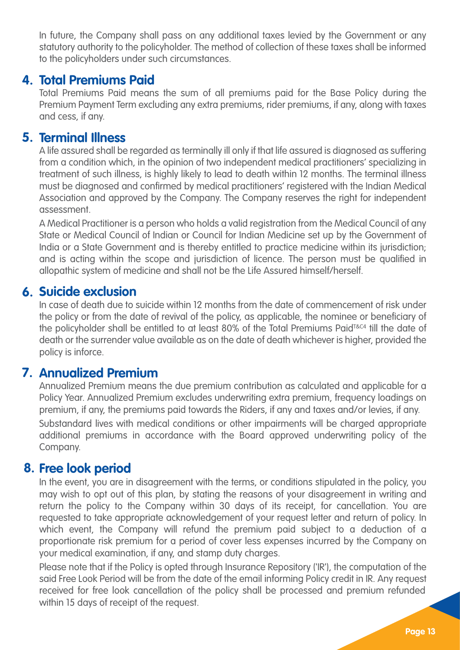In future, the Company shall pass on any additional taxes levied by the Government or any statutory authority to the policyholder. The method of collection of these taxes shall be informed to the policyholders under such circumstances.

## **4. Total Premiums Paid**

Total Premiums Paid means the sum of all premiums paid for the Base Policy during the Premium Payment Term excluding any extra premiums, rider premiums, if any, along with taxes and cess, if any.

### **5. Terminal Illness**

A life assured shall be regarded as terminally ill only if that life assured is diagnosed as suffering from a condition which, in the opinion of two independent medical practitioners' specializing in treatment of such illness, is highly likely to lead to death within 12 months. The terminal illness must be diagnosed and confirmed by medical practitioners' registered with the Indian Medical Association and approved by the Company. The Company reserves the right for independent assessment.

A Medical Practitioner is a person who holds a valid registration from the Medical Council of any State or Medical Council of Indian or Council for Indian Medicine set up by the Government of India or a State Government and is thereby entitled to practice medicine within its jurisdiction; and is acting within the scope and jurisdiction of licence. The person must be qualified in allopathic system of medicine and shall not be the Life Assured himself/herself.

### **Suicide exclusion 6.**

In case of death due to suicide within 12 months from the date of commencement of risk under the policy or from the date of revival of the policy, as applicable, the nominee or beneficiary of the policyholder shall be entitled to at least 80% of the Total Premiums Paid<sup>T&C4</sup> till the date of death or the surrender value available as on the date of death whichever is higher, provided the policy is inforce.

## **Annualized Premium 7.**

Annualized Premium means the due premium contribution as calculated and applicable for a Policy Year. Annualized Premium excludes underwriting extra premium, frequency loadings on premium, if any, the premiums paid towards the Riders, if any and taxes and/or levies, if any. Substandard lives with medical conditions or other impairments will be charged appropriate additional premiums in accordance with the Board approved underwriting policy of the Company.

## **Free look period 8.**

In the event, you are in disagreement with the terms, or conditions stipulated in the policy, you may wish to opt out of this plan, by stating the reasons of your disagreement in writing and return the policy to the Company within 30 days of its receipt, for cancellation. You are requested to take appropriate acknowledgement of your request letter and return of policy. In which event, the Company will refund the premium paid subject to a deduction of a proportionate risk premium for a period of cover less expenses incurred by the Company on your medical examination, if any, and stamp duty charges.

Please note that if the Policy is opted through Insurance Repository ('IR'), the computation of the said Free Look Period will be from the date of the email informing Policy credit in IR. Any request received for free look cancellation of the policy shall be processed and premium refunded within 15 days of receipt of the request.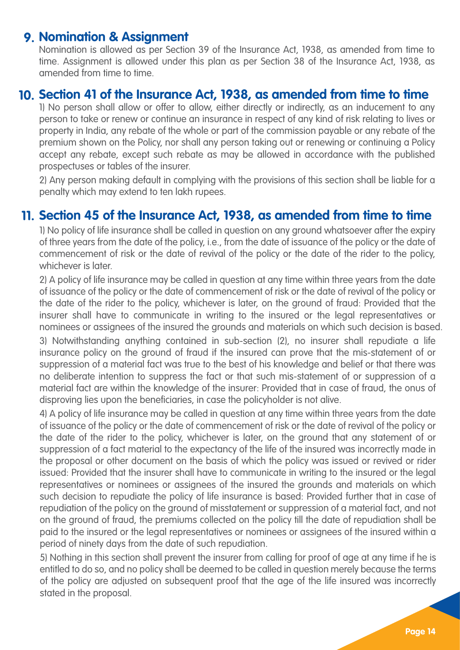## **Nomination & Assignment 9.**

Nomination is allowed as per Section 39 of the Insurance Act, 1938, as amended from time to time. Assignment is allowed under this plan as per Section 38 of the Insurance Act, 1938, as amended from time to time.

## **Section 41 of the Insurance Act, 1938, as amended from time to time 10.**

1) No person shall allow or offer to allow, either directly or indirectly, as an inducement to any person to take or renew or continue an insurance in respect of any kind of risk relating to lives or property in India, any rebate of the whole or part of the commission payable or any rebate of the premium shown on the Policy, nor shall any person taking out or renewing or continuing a Policy accept any rebate, except such rebate as may be allowed in accordance with the published prospectuses or tables of the insurer.

2) Any person making default in complying with the provisions of this section shall be liable for a penalty which may extend to ten lakh rupees.

## **Section 45 of the Insurance Act, 1938, as amended from time to time 11.**

1) No policy of life insurance shall be called in question on any ground whatsoever after the expiry of three years from the date of the policy, i.e., from the date of issuance of the policy or the date of commencement of risk or the date of revival of the policy or the date of the rider to the policy, whichever is later

2) A policy of life insurance may be called in question at any time within three years from the date of issuance of the policy or the date of commencement of risk or the date of revival of the policy or the date of the rider to the policy, whichever is later, on the ground of fraud: Provided that the insurer shall have to communicate in writing to the insured or the legal representatives or nominees or assignees of the insured the grounds and materials on which such decision is based.

3) Notwithstanding anything contained in sub-section (2), no insurer shall repudiate a life insurance policy on the ground of fraud if the insured can prove that the mis-statement of or suppression of a material fact was true to the best of his knowledge and belief or that there was no deliberate intention to suppress the fact or that such mis-statement of or suppression of a material fact are within the knowledge of the insurer: Provided that in case of fraud, the onus of disproving lies upon the beneficiaries, in case the policyholder is not alive.

4) A policy of life insurance may be called in question at any time within three years from the date of issuance of the policy or the date of commencement of risk or the date of revival of the policy or the date of the rider to the policy, whichever is later, on the ground that any statement of or suppression of a fact material to the expectancy of the life of the insured was incorrectly made in the proposal or other document on the basis of which the policy was issued or revived or rider issued: Provided that the insurer shall have to communicate in writing to the insured or the legal representatives or nominees or assignees of the insured the grounds and materials on which such decision to repudiate the policy of life insurance is based: Provided further that in case of repudiation of the policy on the ground of misstatement or suppression of a material fact, and not on the ground of fraud, the premiums collected on the policy till the date of repudiation shall be paid to the insured or the legal representatives or nominees or assignees of the insured within a period of ninety days from the date of such repudiation.

5) Nothing in this section shall prevent the insurer from calling for proof of age at any time if he is entitled to do so, and no policy shall be deemed to be called in question merely because the terms of the policy are adjusted on subsequent proof that the age of the life insured was incorrectly stated in the proposal.